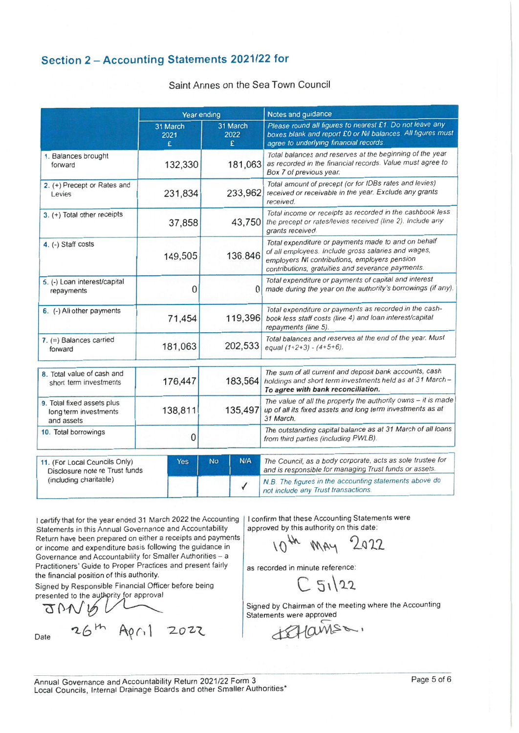## Section 2 - Accounting Statements 2021/22 for

#### Saint Annes on the Sea Town Council

|                                                                   | Year ending           |                                                                                                                                                             | Notes and guidance                                                                                                                                                                                               |  |
|-------------------------------------------------------------------|-----------------------|-------------------------------------------------------------------------------------------------------------------------------------------------------------|------------------------------------------------------------------------------------------------------------------------------------------------------------------------------------------------------------------|--|
|                                                                   | 31 March<br>2021<br>£ | 31 March<br>2022<br>£                                                                                                                                       | Please round all figures to nearest £1. Do not leave any<br>boxes blank and report £0 or Nil balances. All figures must<br>agree to underlying financial records.                                                |  |
| 1. Balances brought<br>forward                                    | 132,330               | Total balances and reserves at the beginning of the year<br>as recorded in the financial records. Value must agree to<br>181,063<br>Box 7 of previous year. |                                                                                                                                                                                                                  |  |
| 2. (+) Precept or Rates and<br>Levies                             | 231,834               | Total amount of precept (or for IDBs rates and levies)<br>233,962<br>received or receivable in the year. Exclude any grants<br>received.                    |                                                                                                                                                                                                                  |  |
| 3. (+) Total other receipts                                       | 37,858                | 43,750                                                                                                                                                      | Total income or receipts as recorded in the cashbook less<br>the precept or rates/levies received (line 2). Include any<br>grants received.                                                                      |  |
| 4. (-) Staff costs                                                | 149,505               | 136.846                                                                                                                                                     | Total expenditure or payments made to and on behalf<br>of all employees. Include gross salaries and wages,<br>employers NI contributions, employers pension<br>contributions, gratuities and severance payments. |  |
| 5. (-) Loan interest/capital<br>repayments                        | 0                     |                                                                                                                                                             | Total expenditure or payments of capital and interest<br>made during the year on the authority's borrowings (if any).<br>0                                                                                       |  |
| 6. (-) All other payments                                         | 71,454                | 119,396                                                                                                                                                     | Total expenditure or payments as recorded in the cash-<br>book less staff costs (line 4) and loan interest/capital<br>repayments (line 5).                                                                       |  |
| $7.$ (=) Balances carried<br>forward                              | 181,063               | 202,533                                                                                                                                                     | Total balances and reserves at the end of the year. Must<br>equal $(1+2+3) - (4+5+6)$ .                                                                                                                          |  |
| 8. Total value of cash and<br>short term investments              | 176,447               | 183,564                                                                                                                                                     | The sum of all current and deposit bank accounts, cash<br>holdings and short term investments held as at 31 March-<br>To agree with bank reconciliation.                                                         |  |
| 9. Total fixed assets plus<br>long term investments<br>and assets | 138,811               | 135,497                                                                                                                                                     | The value of all the property the authority owns - it is made<br>up of all its fixed assets and long term investments as at<br>31 March.                                                                         |  |
| 10. Total borrowings                                              | 0                     |                                                                                                                                                             | The outstanding capital balance as at 31 March of all loans<br>from third parties (including PWLB).                                                                                                              |  |
| 11. (For Local Councils Only)<br>Disclosure note re Trust funds   | Yes                   | N/A<br><b>No</b>                                                                                                                                            | The Council, as a body corporate, acts as sole trustee for<br>and is responsible for managing Trust funds or assets.                                                                                             |  |
| (including charitable)                                            |                       |                                                                                                                                                             | N.B. The figures in the accounting statements above do<br>not include any Trust transactions.                                                                                                                    |  |

I certify that for the year ended 31 March 2022 the Accounting Statements in this Annual Governance and Accountability Return have been prepared on either a receipts and payments or income and expenditure basis following the guidance in Governance and Accountability for Smaller Authorities - a Practitioners' Guide to Proper Practices and present fairly the financial position of this authority.

26th April 2022

Signed by Responsible Financial Officer before being presented to the authprity for approval

 $QV$ 

Date

I confirm that these Accounting Statements were approved by this authority on this date:

 $1046$ 2022 MAY

as recorded in minute reference:

 $51/22$ 

Signed by Chairman of the meeting where the Accounting Statements were approved

 $u=2M\Omega$